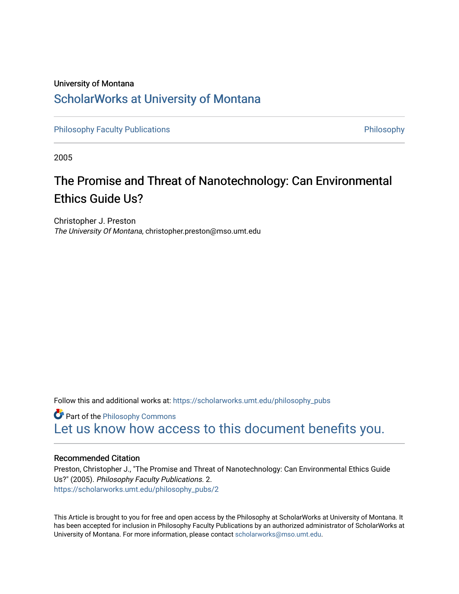# University of Montana [ScholarWorks at University of Montana](https://scholarworks.umt.edu/)

[Philosophy Faculty Publications](https://scholarworks.umt.edu/philosophy_pubs) **Philosophy** Philosophy

2005

# The Promise and Threat of Nanotechnology: Can Environmental Ethics Guide Us?

Christopher J. Preston The University Of Montana, christopher.preston@mso.umt.edu

Follow this and additional works at: [https://scholarworks.umt.edu/philosophy\\_pubs](https://scholarworks.umt.edu/philosophy_pubs?utm_source=scholarworks.umt.edu%2Fphilosophy_pubs%2F2&utm_medium=PDF&utm_campaign=PDFCoverPages)

**Part of the Philosophy Commons** [Let us know how access to this document benefits you.](https://goo.gl/forms/s2rGfXOLzz71qgsB2) 

# Recommended Citation

Preston, Christopher J., "The Promise and Threat of Nanotechnology: Can Environmental Ethics Guide Us?" (2005). Philosophy Faculty Publications. 2. [https://scholarworks.umt.edu/philosophy\\_pubs/2](https://scholarworks.umt.edu/philosophy_pubs/2?utm_source=scholarworks.umt.edu%2Fphilosophy_pubs%2F2&utm_medium=PDF&utm_campaign=PDFCoverPages) 

This Article is brought to you for free and open access by the Philosophy at ScholarWorks at University of Montana. It has been accepted for inclusion in Philosophy Faculty Publications by an authorized administrator of ScholarWorks at University of Montana. For more information, please contact [scholarworks@mso.umt.edu.](mailto:scholarworks@mso.umt.edu)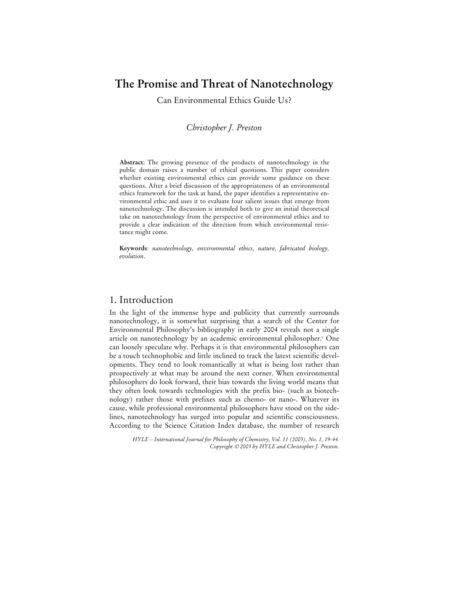# **The Promise and Threat of Nanotechnology**

Can Environmental Ethics Guide Us?

# *Christopher J. Preston*

**Abstract**: The growing presence of the products of nanotechnology in the public domain raises a number of ethical questions. This paper considers whether existing environmental ethics can provide some guidance on these questions. After a brief discussion of the appropriateness of an environmental ethics framework for the task at hand, the paper identifies a representative environmental ethic and uses it to evaluate four salient issues that emerge from nanotechnology. The discussion is intended both to give an initial theoretical take on nanotechnology from the perspective of environmental ethics and to provide a clear indication of the direction from which environmental resistance might come.

**Keywords***: nanotechnology, environmental ethics, nature, fabricated biology, evolution*.

# 1. Introduction

In the light of the immense hype and publicity that currently surrounds nanotechnology, it is somewhat surprising that a search of the Center for Environmental Philosophy's bibliography in early 2004 reveals not a single article on nanotechnology by an academic environmental philosopher.1 One can loosely speculate why. Perhaps it is that environmental philosophers can be a touch technophobic and little inclined to track the latest scientific developments. They tend to look romantically at what is being lost rather than prospectively at what may be around the next corner. When environmental philosophers do look forward, their bias towards the living world means that they often look towards technologies with the prefix bio- (such as biotechnology) rather those with prefixes such as chemo- or nano-. Whatever its cause, while professional environmental philosophers have stood on the sidelines, nanotechnology has surged into popular and scientific consciousness. According to the Science Citation Index database, the number of research

*HYLE – International Journal for Philosophy of Chemistry, Vol. 11 (2005), No. 1, 19-44. Copyright 2005 by HYLE and Christopher J. Preston.*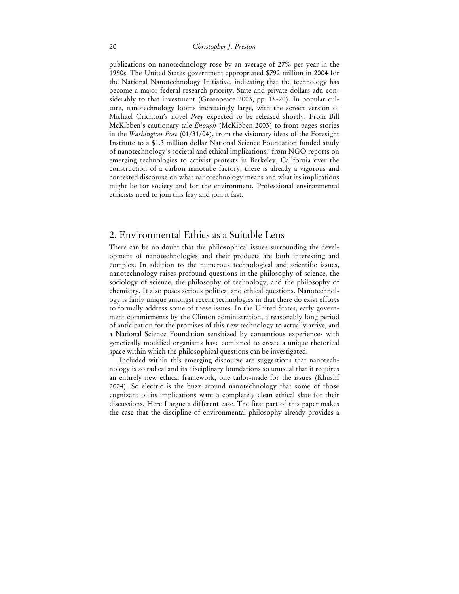publications on nanotechnology rose by an average of 27% per year in the 1990s. The United States government appropriated \$792 million in 2004 for the National Nanotechnology Initiative, indicating that the technology has become a major federal research priority. State and private dollars add considerably to that investment (Greenpeace 2003, pp. 18-20). In popular culture, nanotechnology looms increasingly large, with the screen version of Michael Crichton's novel *Prey* expected to be released shortly. From Bill McKibben's cautionary tale *Enough* (McKibben 2003) to front pages stories in the *Washington Post* (01/31/04), from the visionary ideas of the Foresight Institute to a \$1.3 million dollar National Science Foundation funded study of nanotechnology's societal and ethical implications,2 from NGO reports on emerging technologies to activist protests in Berkeley, California over the construction of a carbon nanotube factory, there is already a vigorous and contested discourse on what nanotechnology means and what its implications might be for society and for the environment. Professional environmental ethicists need to join this fray and join it fast.

# 2. Environmental Ethics as a Suitable Lens

There can be no doubt that the philosophical issues surrounding the development of nanotechnologies and their products are both interesting and complex. In addition to the numerous technological and scientific issues, nanotechnology raises profound questions in the philosophy of science, the sociology of science, the philosophy of technology, and the philosophy of chemistry. It also poses serious political and ethical questions. Nanotechnology is fairly unique amongst recent technologies in that there do exist efforts to formally address some of these issues. In the United States, early government commitments by the Clinton administration, a reasonably long period of anticipation for the promises of this new technology to actually arrive, and a National Science Foundation sensitized by contentious experiences with genetically modified organisms have combined to create a unique rhetorical space within which the philosophical questions can be investigated.

 Included within this emerging discourse are suggestions that nanotechnology is so radical and its disciplinary foundations so unusual that it requires an entirely new ethical framework, one tailor-made for the issues (Khushf 2004). So electric is the buzz around nanotechnology that some of those cognizant of its implications want a completely clean ethical slate for their discussions. Here I argue a different case. The first part of this paper makes the case that the discipline of environmental philosophy already provides a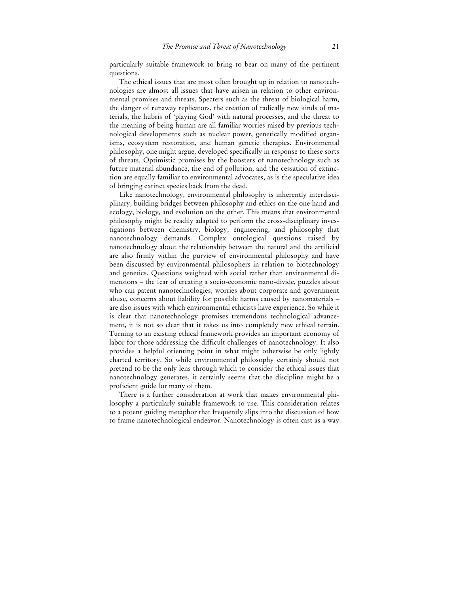particularly suitable framework to bring to bear on many of the pertinent questions.

 The ethical issues that are most often brought up in relation to nanotechnologies are almost all issues that have arisen in relation to other environmental promises and threats. Specters such as the threat of biological harm, the danger of runaway replicators, the creation of radically new kinds of materials, the hubris of 'playing God' with natural processes, and the threat to the meaning of being human are all familiar worries raised by previous technological developments such as nuclear power, genetically modified organisms, ecosystem restoration, and human genetic therapies. Environmental philosophy, one might argue, developed specifically in response to these sorts of threats. Optimistic promises by the boosters of nanotechnology such as future material abundance, the end of pollution, and the cessation of extinction are equally familiar to environmental advocates, as is the speculative idea of bringing extinct species back from the dead.

 Like nanotechnology, environmental philosophy is inherently interdisciplinary, building bridges between philosophy and ethics on the one hand and ecology, biology, and evolution on the other. This means that environmental philosophy might be readily adapted to perform the cross-disciplinary investigations between chemistry, biology, engineering, and philosophy that nanotechnology demands. Complex ontological questions raised by nanotechnology about the relationship between the natural and the artificial are also firmly within the purview of environmental philosophy and have been discussed by environmental philosophers in relation to biotechnology and genetics. Questions weighted with social rather than environmental dimensions – the fear of creating a socio-economic nano-divide, puzzles about who can patent nanotechnologies, worries about corporate and government abuse, concerns about liability for possible harms caused by nanomaterials – are also issues with which environmental ethicists have experience. So while it is clear that nanotechnology promises tremendous technological advancement, it is not so clear that it takes us into completely new ethical terrain. Turning to an existing ethical framework provides an important economy of labor for those addressing the difficult challenges of nanotechnology. It also provides a helpful orienting point in what might otherwise be only lightly charted territory. So while environmental philosophy certainly should not pretend to be the only lens through which to consider the ethical issues that nanotechnology generates, it certainly seems that the discipline might be a proficient guide for many of them.

 There is a further consideration at work that makes environmental philosophy a particularly suitable framework to use. This consideration relates to a potent guiding metaphor that frequently slips into the discussion of how to frame nanotechnological endeavor. Nanotechnology is often cast as a way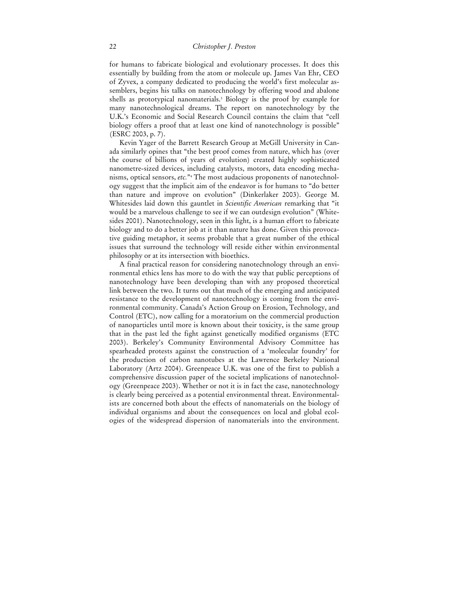for humans to fabricate biological and evolutionary processes. It does this essentially by building from the atom or molecule up. James Van Ehr, CEO of Zyvex, a company dedicated to producing the world's first molecular assemblers, begins his talks on nanotechnology by offering wood and abalone shells as prototypical nanomaterials.3 Biology is the proof by example for many nanotechnological dreams. The report on nanotechnology by the U.K.'s Economic and Social Research Council contains the claim that "cell biology offers a proof that at least one kind of nanotechnology is possible" (ESRC 2003, p. 7).

 Kevin Yager of the Barrett Research Group at McGill University in Canada similarly opines that "the best proof comes from nature, which has (over the course of billions of years of evolution) created highly sophisticated nanometre-sized devices, including catalysts, motors, data encoding mechanisms, optical sensors, *etc.*"4 The most audacious proponents of nanotechnology suggest that the implicit aim of the endeavor is for humans to "do better than nature and improve on evolution" (Dinkerlaker 2003). George M. Whitesides laid down this gauntlet in *Scientific American* remarking that "it would be a marvelous challenge to see if we can outdesign evolution" (Whitesides 2001). Nanotechnology, seen in this light, is a human effort to fabricate biology and to do a better job at it than nature has done. Given this provocative guiding metaphor, it seems probable that a great number of the ethical issues that surround the technology will reside either within environmental philosophy or at its intersection with bioethics.

 A final practical reason for considering nanotechnology through an environmental ethics lens has more to do with the way that public perceptions of nanotechnology have been developing than with any proposed theoretical link between the two. It turns out that much of the emerging and anticipated resistance to the development of nanotechnology is coming from the environmental community. Canada's Action Group on Erosion, Technology, and Control (ETC), now calling for a moratorium on the commercial production of nanoparticles until more is known about their toxicity, is the same group that in the past led the fight against genetically modified organisms (ETC 2003). Berkeley's Community Environmental Advisory Committee has spearheaded protests against the construction of a 'molecular foundry' for the production of carbon nanotubes at the Lawrence Berkeley National Laboratory (Artz 2004). Greenpeace U.K. was one of the first to publish a comprehensive discussion paper of the societal implications of nanotechnology (Greenpeace 2003). Whether or not it is in fact the case, nanotechnology is clearly being perceived as a potential environmental threat. Environmentalists are concerned both about the effects of nanomaterials on the biology of individual organisms and about the consequences on local and global ecologies of the widespread dispersion of nanomaterials into the environment.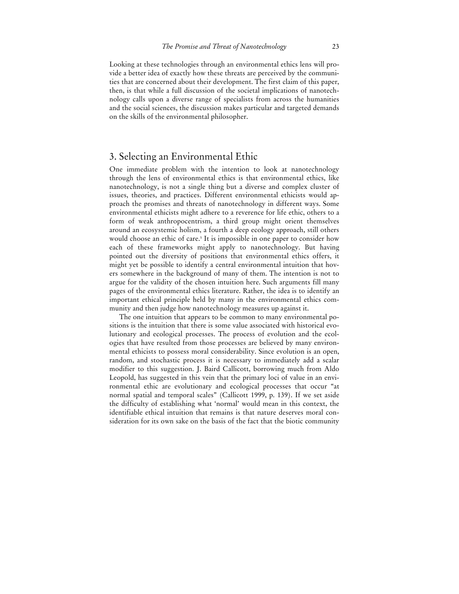Looking at these technologies through an environmental ethics lens will provide a better idea of exactly how these threats are perceived by the communities that are concerned about their development. The first claim of this paper, then, is that while a full discussion of the societal implications of nanotechnology calls upon a diverse range of specialists from across the humanities and the social sciences, the discussion makes particular and targeted demands on the skills of the environmental philosopher.

# 3. Selecting an Environmental Ethic

One immediate problem with the intention to look at nanotechnology through the lens of environmental ethics is that environmental ethics, like nanotechnology, is not a single thing but a diverse and complex cluster of issues, theories, and practices. Different environmental ethicists would approach the promises and threats of nanotechnology in different ways. Some environmental ethicists might adhere to a reverence for life ethic, others to a form of weak anthropocentrism, a third group might orient themselves around an ecosystemic holism, a fourth a deep ecology approach, still others would choose an ethic of care.5 It is impossible in one paper to consider how each of these frameworks might apply to nanotechnology. But having pointed out the diversity of positions that environmental ethics offers, it might yet be possible to identify a central environmental intuition that hovers somewhere in the background of many of them. The intention is not to argue for the validity of the chosen intuition here. Such arguments fill many pages of the environmental ethics literature. Rather, the idea is to identify an important ethical principle held by many in the environmental ethics community and then judge how nanotechnology measures up against it.

 The one intuition that appears to be common to many environmental positions is the intuition that there is some value associated with historical evolutionary and ecological processes. The process of evolution and the ecologies that have resulted from those processes are believed by many environmental ethicists to possess moral considerability. Since evolution is an open, random, and stochastic process it is necessary to immediately add a scalar modifier to this suggestion. J. Baird Callicott, borrowing much from Aldo Leopold, has suggested in this vein that the primary loci of value in an environmental ethic are evolutionary and ecological processes that occur "at normal spatial and temporal scales" (Callicott 1999, p. 139). If we set aside the difficulty of establishing what 'normal' would mean in this context, the identifiable ethical intuition that remains is that nature deserves moral consideration for its own sake on the basis of the fact that the biotic community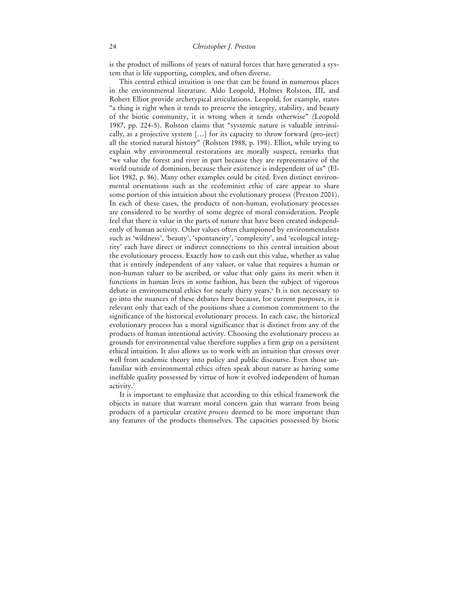is the product of millions of years of natural forces that have generated a system that is life supporting, complex, and often diverse.

 This central ethical intuition is one that can be found in numerous places in the environmental literature. Aldo Leopold, Holmes Rolston, III, and Robert Elliot provide archetypical articulations. Leopold, for example, states "a thing is right when it tends to preserve the integrity, stability, and beauty of the biotic community, it is wrong when it tends otherwise" (Leopold 1987, pp. 224-5). Rolston claims that "systemic nature is valuable intrinsically, as a projective system […] for its capacity to throw forward (pro-ject) all the storied natural history" (Rolston 1988, p. 198). Elliot, while trying to explain why environmental restorations are morally suspect, remarks that "we value the forest and river in part because they are representative of the world outside of dominion, because their existence is independent of us" (Elliot 1982, p. 86). Many other examples could be cited. Even distinct environmental orientations such as the ecofeminist ethic of care appear to share some portion of this intuition about the evolutionary process (Preston 2001). In each of these cases, the products of non-human, evolutionary processes are considered to be worthy of some degree of moral consideration. People feel that there is value in the parts of nature that have been created independently of human activity. Other values often championed by environmentalists such as 'wildness', 'beauty', 'spontaneity', 'complexity', and 'ecological integrity' each have direct or indirect connections to this central intuition about the evolutionary process. Exactly how to cash out this value, whether as value that is entirely independent of any valuer, or value that requires a human or non-human valuer to be ascribed, or value that only gains its merit when it functions in human lives in some fashion, has been the subject of vigorous debate in environmental ethics for nearly thirty years.6 It is not necessary to go into the nuances of these debates here because, for current purposes, it is relevant only that each of the positions share a common commitment to the significance of the historical evolutionary process. In each case, the historical evolutionary process has a moral significance that is distinct from any of the products of human intentional activity. Choosing the evolutionary process as grounds for environmental value therefore supplies a firm grip on a persistent ethical intuition. It also allows us to work with an intuition that crosses over well from academic theory into policy and public discourse. Even those unfamiliar with environmental ethics often speak about nature as having some ineffable quality possessed by virtue of how it evolved independent of human activity.7

 It is important to emphasize that according to this ethical framework the objects in nature that warrant moral concern gain that warrant from being products of a particular creative *process* deemed to be more important than any features of the products themselves. The capacities possessed by biotic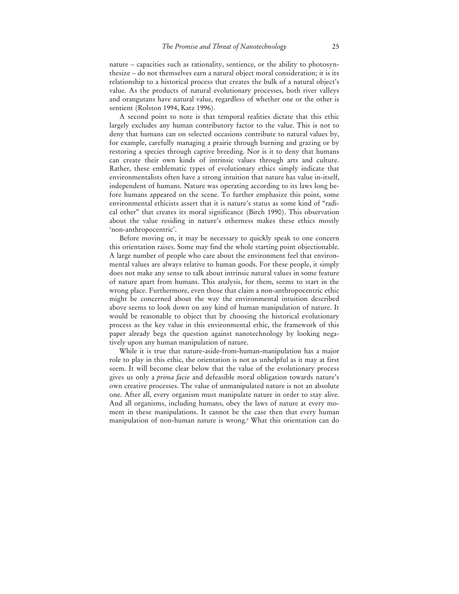nature – capacities such as rationality, sentience, or the ability to photosynthesize – do not themselves earn a natural object moral consideration; it is its relationship to a historical process that creates the bulk of a natural object's value. As the products of natural evolutionary processes, both river valleys and orangutans have natural value, regardless of whether one or the other is sentient (Rolston 1994, Katz 1996).

 A second point to note is that temporal realities dictate that this ethic largely excludes any human contributory factor to the value. This is not to deny that humans can on selected occasions contribute to natural values by, for example, carefully managing a prairie through burning and grazing or by restoring a species through captive breeding. Nor is it to deny that humans can create their own kinds of intrinsic values through arts and culture. Rather, these emblematic types of evolutionary ethics simply indicate that environmentalists often have a strong intuition that nature has value in-itself, independent of humans. Nature was operating according to its laws long before humans appeared on the scene. To further emphasize this point, some environmental ethicists assert that it is nature's status as some kind of "radical other" that creates its moral significance (Birch 1990). This observation about the value residing in nature's otherness makes these ethics mostly 'non-anthropocentric'.

 Before moving on, it may be necessary to quickly speak to one concern this orientation raises. Some may find the whole starting point objectionable. A large number of people who care about the environment feel that environmental values are always relative to human goods. For these people, it simply does not make any sense to talk about intrinsic natural values in some feature of nature apart from humans. This analysis, for them, seems to start in the wrong place. Furthermore, even those that claim a non-anthropocentric ethic might be concerned about the way the environmental intuition described above seems to look down on any kind of human manipulation of nature. It would be reasonable to object that by choosing the historical evolutionary process as the key value in this environmental ethic, the framework of this paper already begs the question against nanotechnology by looking negatively upon any human manipulation of nature.

 While it is true that nature-aside-from-human-manipulation has a major role to play in this ethic, the orientation is not as unhelpful as it may at first seem. It will become clear below that the value of the evolutionary process gives us only a *prima facie* and defeasible moral obligation towards nature's own creative processes. The value of unmanipulated nature is not an absolute one. After all, every organism must manipulate nature in order to stay alive. And all organisms, including humans, obey the laws of nature at every moment in these manipulations. It cannot be the case then that every human manipulation of non-human nature is wrong.8 What this orientation can do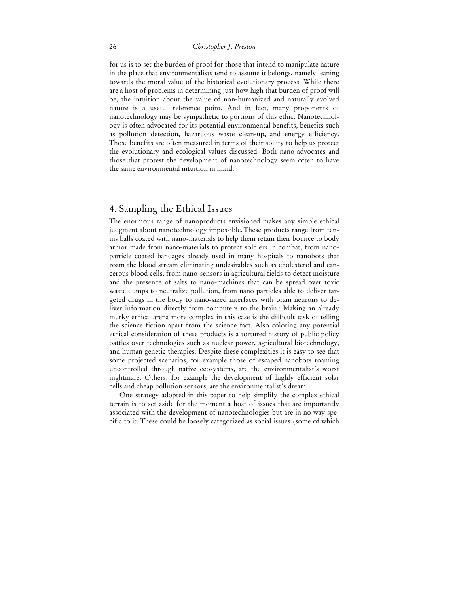for us is to set the burden of proof for those that intend to manipulate nature in the place that environmentalists tend to assume it belongs, namely leaning towards the moral value of the historical evolutionary process. While there are a host of problems in determining just how high that burden of proof will be, the intuition about the value of non-humanized and naturally evolved nature is a useful reference point. And in fact, many proponents of nanotechnology may be sympathetic to portions of this ethic. Nanotechnology is often advocated for its potential environmental benefits, benefits such as pollution detection, hazardous waste clean-up, and energy efficiency. Those benefits are often measured in terms of their ability to help us protect the evolutionary and ecological values discussed. Both nano-advocates and those that protest the development of nanotechnology seem often to have the same environmental intuition in mind.

# 4. Sampling the Ethical Issues

The enormous range of nanoproducts envisioned makes any simple ethical judgment about nanotechnology impossible. These products range from tennis balls coated with nano-materials to help them retain their bounce to body armor made from nano-materials to protect soldiers in combat, from nanoparticle coated bandages already used in many hospitals to nanobots that roam the blood stream eliminating undesirables such as cholesterol and cancerous blood cells, from nano-sensors in agricultural fields to detect moisture and the presence of salts to nano-machines that can be spread over toxic waste dumps to neutralize pollution, from nano particles able to deliver targeted drugs in the body to nano-sized interfaces with brain neurons to deliver information directly from computers to the brain.9 Making an already murky ethical arena more complex in this case is the difficult task of telling the science fiction apart from the science fact. Also coloring any potential ethical consideration of these products is a tortured history of public policy battles over technologies such as nuclear power, agricultural biotechnology, and human genetic therapies. Despite these complexities it is easy to see that some projected scenarios, for example those of escaped nanobots roaming uncontrolled through native ecosystems, are the environmentalist's worst nightmare. Others, for example the development of highly efficient solar cells and cheap pollution sensors, are the environmentalist's dream.

 One strategy adopted in this paper to help simplify the complex ethical terrain is to set aside for the moment a host of issues that are importantly associated with the development of nanotechnologies but are in no way specific to it. These could be loosely categorized as social issues (some of which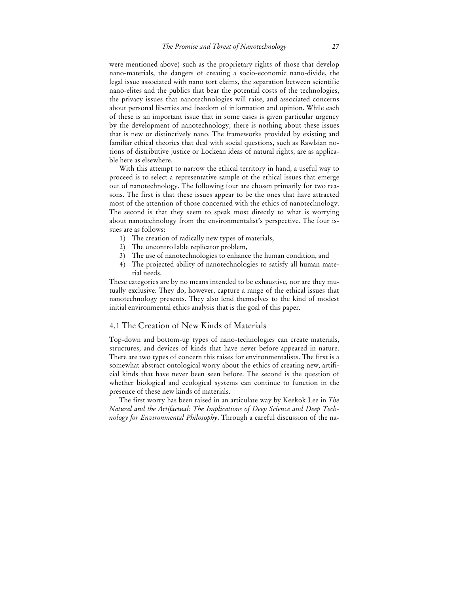were mentioned above) such as the proprietary rights of those that develop nano-materials, the dangers of creating a socio-economic nano-divide, the legal issue associated with nano tort claims, the separation between scientific nano-elites and the publics that bear the potential costs of the technologies, the privacy issues that nanotechnologies will raise, and associated concerns about personal liberties and freedom of information and opinion. While each of these is an important issue that in some cases is given particular urgency by the development of nanotechnology, there is nothing about these issues that is new or distinctively nano. The frameworks provided by existing and familiar ethical theories that deal with social questions, such as Rawlsian notions of distributive justice or Lockean ideas of natural rights, are as applicable here as elsewhere.

 With this attempt to narrow the ethical territory in hand, a useful way to proceed is to select a representative sample of the ethical issues that emerge out of nanotechnology. The following four are chosen primarily for two reasons. The first is that these issues appear to be the ones that have attracted most of the attention of those concerned with the ethics of nanotechnology. The second is that they seem to speak most directly to what is worrying about nanotechnology from the environmentalist's perspective. The four issues are as follows:

- 1) The creation of radically new types of materials,
- 2) The uncontrollable replicator problem,
- 3) The use of nanotechnologies to enhance the human condition, and
- 4) The projected ability of nanotechnologies to satisfy all human material needs.

These categories are by no means intended to be exhaustive, nor are they mutually exclusive. They do, however, capture a range of the ethical issues that nanotechnology presents. They also lend themselves to the kind of modest initial environmental ethics analysis that is the goal of this paper.

#### 4.1 The Creation of New Kinds of Materials

Top-down and bottom-up types of nano-technologies can create materials, structures, and devices of kinds that have never before appeared in nature. There are two types of concern this raises for environmentalists. The first is a somewhat abstract ontological worry about the ethics of creating new, artificial kinds that have never been seen before. The second is the question of whether biological and ecological systems can continue to function in the presence of these new kinds of materials.

 The first worry has been raised in an articulate way by Keekok Lee in *The Natural and the Artifactual: The Implications of Deep Science and Deep Technology for Environmental Philosophy*. Through a careful discussion of the na-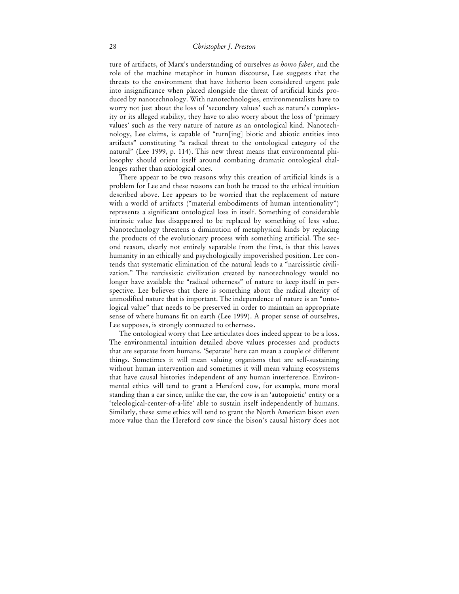ture of artifacts, of Marx's understanding of ourselves as *homo faber*, and the role of the machine metaphor in human discourse, Lee suggests that the threats to the environment that have hitherto been considered urgent pale into insignificance when placed alongside the threat of artificial kinds produced by nanotechnology. With nanotechnologies, environmentalists have to worry not just about the loss of 'secondary values' such as nature's complexity or its alleged stability, they have to also worry about the loss of 'primary values' such as the very nature of nature as an ontological kind. Nanotechnology, Lee claims, is capable of "turn[ing] biotic and abiotic entities into artifacts" constituting "a radical threat to the ontological category of the natural" (Lee 1999, p. 114). This new threat means that environmental philosophy should orient itself around combating dramatic ontological challenges rather than axiological ones.

 There appear to be two reasons why this creation of artificial kinds is a problem for Lee and these reasons can both be traced to the ethical intuition described above. Lee appears to be worried that the replacement of nature with a world of artifacts ("material embodiments of human intentionality") represents a significant ontological loss in itself. Something of considerable intrinsic value has disappeared to be replaced by something of less value. Nanotechnology threatens a diminution of metaphysical kinds by replacing the products of the evolutionary process with something artificial. The second reason, clearly not entirely separable from the first, is that this leaves humanity in an ethically and psychologically impoverished position. Lee contends that systematic elimination of the natural leads to a "narcissistic civilization." The narcissistic civilization created by nanotechnology would no longer have available the "radical otherness" of nature to keep itself in perspective. Lee believes that there is something about the radical alterity of unmodified nature that is important. The independence of nature is an "ontological value" that needs to be preserved in order to maintain an appropriate sense of where humans fit on earth (Lee 1999). A proper sense of ourselves, Lee supposes, is strongly connected to otherness.

 The ontological worry that Lee articulates does indeed appear to be a loss. The environmental intuition detailed above values processes and products that are separate from humans. 'Separate' here can mean a couple of different things. Sometimes it will mean valuing organisms that are self-sustaining without human intervention and sometimes it will mean valuing ecosystems that have causal histories independent of any human interference. Environmental ethics will tend to grant a Hereford cow, for example, more moral standing than a car since, unlike the car, the cow is an 'autopoietic' entity or a 'teleological-center-of-a-life' able to sustain itself independently of humans. Similarly, these same ethics will tend to grant the North American bison even more value than the Hereford cow since the bison's causal history does not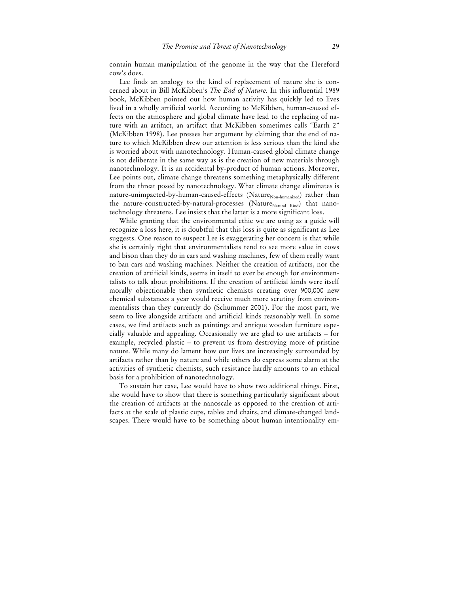contain human manipulation of the genome in the way that the Hereford cow's does.

 Lee finds an analogy to the kind of replacement of nature she is concerned about in Bill McKibben's *The End of Nature.* In this influential 1989 book, McKibben pointed out how human activity has quickly led to lives lived in a wholly artificial world. According to McKibben, human-caused effects on the atmosphere and global climate have lead to the replacing of nature with an artifact, an artifact that McKibben sometimes calls "Earth 2" (McKibben 1998). Lee presses her argument by claiming that the end of nature to which McKibben drew our attention is less serious than the kind she is worried about with nanotechnology. Human-caused global climate change is not deliberate in the same way as is the creation of new materials through nanotechnology. It is an accidental by-product of human actions. Moreover, Lee points out, climate change threatens something metaphysically different from the threat posed by nanotechnology. What climate change eliminates is nature-unimpacted-by-human-caused-effects (Nature<sub>Non-humanized</sub>) rather than the nature-constructed-by-natural-processes (Nature $_{\text{Natural Kind}}$ ) that nanotechnology threatens. Lee insists that the latter is a more significant loss.

 While granting that the environmental ethic we are using as a guide will recognize a loss here, it is doubtful that this loss is quite as significant as Lee suggests. One reason to suspect Lee is exaggerating her concern is that while she is certainly right that environmentalists tend to see more value in cows and bison than they do in cars and washing machines, few of them really want to ban cars and washing machines. Neither the creation of artifacts, nor the creation of artificial kinds, seems in itself to ever be enough for environmentalists to talk about prohibitions. If the creation of artificial kinds were itself morally objectionable then synthetic chemists creating over 900,000 new chemical substances a year would receive much more scrutiny from environmentalists than they currently do (Schummer 2001). For the most part, we seem to live alongside artifacts and artificial kinds reasonably well. In some cases, we find artifacts such as paintings and antique wooden furniture especially valuable and appealing. Occasionally we are glad to use artifacts – for example, recycled plastic – to prevent us from destroying more of pristine nature. While many do lament how our lives are increasingly surrounded by artifacts rather than by nature and while others do express some alarm at the activities of synthetic chemists, such resistance hardly amounts to an ethical basis for a prohibition of nanotechnology.

 To sustain her case, Lee would have to show two additional things. First, she would have to show that there is something particularly significant about the creation of artifacts at the nanoscale as opposed to the creation of artifacts at the scale of plastic cups, tables and chairs, and climate-changed landscapes. There would have to be something about human intentionality em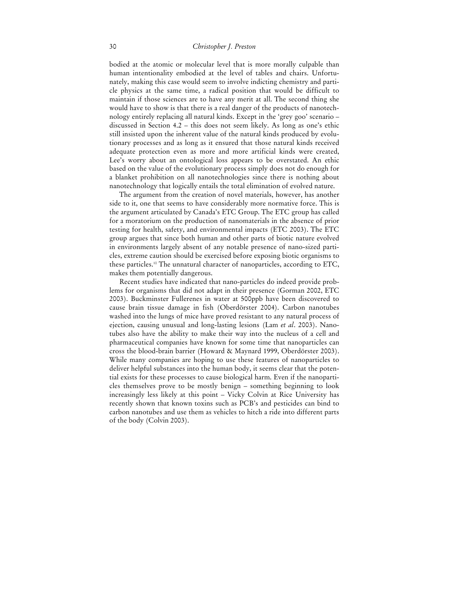bodied at the atomic or molecular level that is more morally culpable than human intentionality embodied at the level of tables and chairs. Unfortunately, making this case would seem to involve indicting chemistry and particle physics at the same time, a radical position that would be difficult to maintain if those sciences are to have any merit at all. The second thing she would have to show is that there is a real danger of the products of nanotechnology entirely replacing all natural kinds. Except in the 'grey goo' scenario – discussed in Section 4.2 – this does not seem likely. As long as one's ethic still insisted upon the inherent value of the natural kinds produced by evolutionary processes and as long as it ensured that those natural kinds received adequate protection even as more and more artificial kinds were created, Lee's worry about an ontological loss appears to be overstated. An ethic based on the value of the evolutionary process simply does not do enough for a blanket prohibition on all nanotechnologies since there is nothing about nanotechnology that logically entails the total elimination of evolved nature.

 The argument from the creation of novel materials, however, has another side to it, one that seems to have considerably more normative force. This is the argument articulated by Canada's ETC Group. The ETC group has called for a moratorium on the production of nanomaterials in the absence of prior testing for health, safety, and environmental impacts (ETC 2003). The ETC group argues that since both human and other parts of biotic nature evolved in environments largely absent of any notable presence of nano-sized particles, extreme caution should be exercised before exposing biotic organisms to these particles.10 The unnatural character of nanoparticles, according to ETC, makes them potentially dangerous.

 Recent studies have indicated that nano-particles do indeed provide problems for organisms that did not adapt in their presence (Gorman 2002, ETC 2003). Buckminster Fullerenes in water at 500ppb have been discovered to cause brain tissue damage in fish (Oberdörster 2004). Carbon nanotubes washed into the lungs of mice have proved resistant to any natural process of ejection, causing unusual and long-lasting lesions (Lam *et al*. 2003). Nanotubes also have the ability to make their way into the nucleus of a cell and pharmaceutical companies have known for some time that nanoparticles can cross the blood-brain barrier (Howard & Maynard 1999, Oberdörster 2003). While many companies are hoping to use these features of nanoparticles to deliver helpful substances into the human body, it seems clear that the potential exists for these processes to cause biological harm. Even if the nanoparticles themselves prove to be mostly benign – something beginning to look increasingly less likely at this point – Vicky Colvin at Rice University has recently shown that known toxins such as PCB's and pesticides can bind to carbon nanotubes and use them as vehicles to hitch a ride into different parts of the body (Colvin 2003).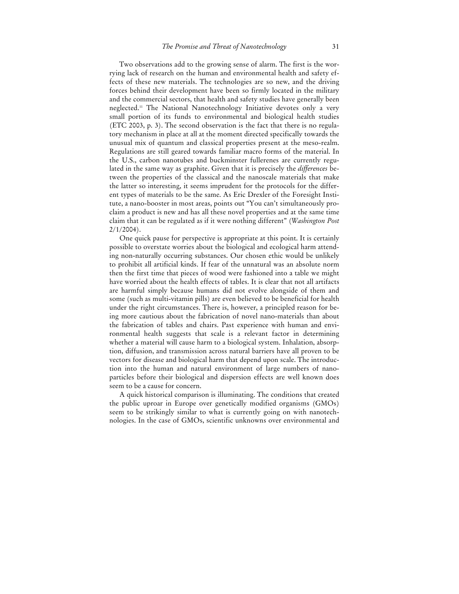Two observations add to the growing sense of alarm. The first is the worrying lack of research on the human and environmental health and safety effects of these new materials. The technologies are so new, and the driving forces behind their development have been so firmly located in the military and the commercial sectors, that health and safety studies have generally been neglected.11 The National Nanotechnology Initiative devotes only a very small portion of its funds to environmental and biological health studies (ETC 2003, p. 3). The second observation is the fact that there is no regulatory mechanism in place at all at the moment directed specifically towards the unusual mix of quantum and classical properties present at the meso-realm. Regulations are still geared towards familiar macro forms of the material. In the U.S., carbon nanotubes and buckminster fullerenes are currently regulated in the same way as graphite. Given that it is precisely the *differences* between the properties of the classical and the nanoscale materials that make the latter so interesting, it seems imprudent for the protocols for the different types of materials to be the same. As Eric Drexler of the Foresight Institute, a nano-booster in most areas, points out "You can't simultaneously proclaim a product is new and has all these novel properties and at the same time claim that it can be regulated as if it were nothing different" (*Washington Post*  $2/1/2004$ ).

 One quick pause for perspective is appropriate at this point. It is certainly possible to overstate worries about the biological and ecological harm attending non-naturally occurring substances. Our chosen ethic would be unlikely to prohibit all artificial kinds. If fear of the unnatural was an absolute norm then the first time that pieces of wood were fashioned into a table we might have worried about the health effects of tables. It is clear that not all artifacts are harmful simply because humans did not evolve alongside of them and some (such as multi-vitamin pills) are even believed to be beneficial for health under the right circumstances. There is, however, a principled reason for being more cautious about the fabrication of novel nano-materials than about the fabrication of tables and chairs. Past experience with human and environmental health suggests that scale is a relevant factor in determining whether a material will cause harm to a biological system. Inhalation, absorption, diffusion, and transmission across natural barriers have all proven to be vectors for disease and biological harm that depend upon scale. The introduction into the human and natural environment of large numbers of nanoparticles before their biological and dispersion effects are well known does seem to be a cause for concern.

 A quick historical comparison is illuminating. The conditions that created the public uproar in Europe over genetically modified organisms (GMOs) seem to be strikingly similar to what is currently going on with nanotechnologies. In the case of GMOs, scientific unknowns over environmental and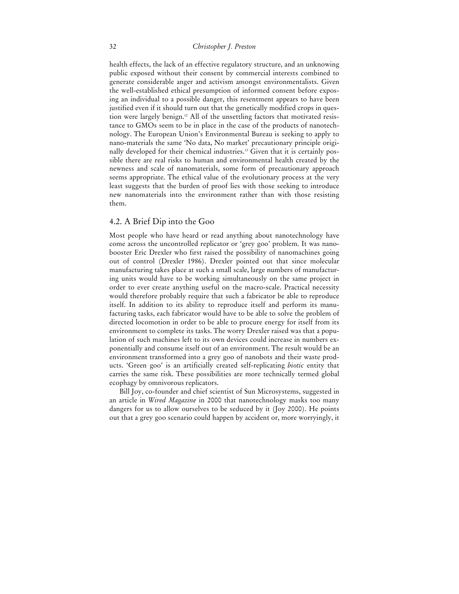health effects, the lack of an effective regulatory structure, and an unknowing public exposed without their consent by commercial interests combined to generate considerable anger and activism amongst environmentalists. Given the well-established ethical presumption of informed consent before exposing an individual to a possible danger, this resentment appears to have been justified even if it should turn out that the genetically modified crops in question were largely benign.12 All of the unsettling factors that motivated resistance to GMOs seem to be in place in the case of the products of nanotechnology. The European Union's Environmental Bureau is seeking to apply to nano-materials the same 'No data, No market' precautionary principle originally developed for their chemical industries.13 Given that it is certainly possible there are real risks to human and environmental health created by the newness and scale of nanomaterials, some form of precautionary approach seems appropriate. The ethical value of the evolutionary process at the very least suggests that the burden of proof lies with those seeking to introduce new nanomaterials into the environment rather than with those resisting them.

#### 4.2. A Brief Dip into the Goo

Most people who have heard or read anything about nanotechnology have come across the uncontrolled replicator or 'grey goo' problem. It was nanobooster Eric Drexler who first raised the possibility of nanomachines going out of control (Drexler 1986). Drexler pointed out that since molecular manufacturing takes place at such a small scale, large numbers of manufacturing units would have to be working simultaneously on the same project in order to ever create anything useful on the macro-scale. Practical necessity would therefore probably require that such a fabricator be able to reproduce itself. In addition to its ability to reproduce itself and perform its manufacturing tasks, each fabricator would have to be able to solve the problem of directed locomotion in order to be able to procure energy for itself from its environment to complete its tasks. The worry Drexler raised was that a population of such machines left to its own devices could increase in numbers exponentially and consume itself out of an environment. The result would be an environment transformed into a grey goo of nanobots and their waste products. 'Green goo' is an artificially created self-replicating *biotic* entity that carries the same risk. These possibilities are more technically termed global ecophagy by omnivorous replicators.

 Bill Joy, co-founder and chief scientist of Sun Microsystems, suggested in an article in *Wired Magazine* in 2000 that nanotechnology masks too many dangers for us to allow ourselves to be seduced by it (Joy 2000). He points out that a grey goo scenario could happen by accident or, more worryingly, it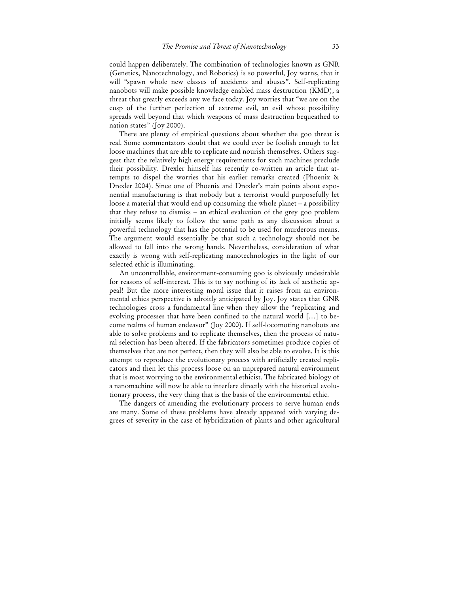could happen deliberately. The combination of technologies known as GNR (Genetics, Nanotechnology, and Robotics) is so powerful, Joy warns, that it will "spawn whole new classes of accidents and abuses". Self-replicating nanobots will make possible knowledge enabled mass destruction (KMD), a threat that greatly exceeds any we face today. Joy worries that "we are on the cusp of the further perfection of extreme evil, an evil whose possibility spreads well beyond that which weapons of mass destruction bequeathed to nation states" (Joy 2000).

 There are plenty of empirical questions about whether the goo threat is real. Some commentators doubt that we could ever be foolish enough to let loose machines that are able to replicate and nourish themselves. Others suggest that the relatively high energy requirements for such machines preclude their possibility. Drexler himself has recently co-written an article that attempts to dispel the worries that his earlier remarks created (Phoenix & Drexler 2004). Since one of Phoenix and Drexler's main points about exponential manufacturing is that nobody but a terrorist would purposefully let loose a material that would end up consuming the whole planet – a possibility that they refuse to dismiss – an ethical evaluation of the grey goo problem initially seems likely to follow the same path as any discussion about a powerful technology that has the potential to be used for murderous means. The argument would essentially be that such a technology should not be allowed to fall into the wrong hands. Nevertheless, consideration of what exactly is wrong with self-replicating nanotechnologies in the light of our selected ethic is illuminating.

 An uncontrollable, environment-consuming goo is obviously undesirable for reasons of self-interest. This is to say nothing of its lack of aesthetic appeal! But the more interesting moral issue that it raises from an environmental ethics perspective is adroitly anticipated by Joy. Joy states that GNR technologies cross a fundamental line when they allow the "replicating and evolving processes that have been confined to the natural world […] to become realms of human endeavor" (Joy 2000). If self-locomoting nanobots are able to solve problems and to replicate themselves, then the process of natural selection has been altered. If the fabricators sometimes produce copies of themselves that are not perfect, then they will also be able to evolve. It is this attempt to reproduce the evolutionary process with artificially created replicators and then let this process loose on an unprepared natural environment that is most worrying to the environmental ethicist. The fabricated biology of a nanomachine will now be able to interfere directly with the historical evolutionary process, the very thing that is the basis of the environmental ethic.

 The dangers of amending the evolutionary process to serve human ends are many. Some of these problems have already appeared with varying degrees of severity in the case of hybridization of plants and other agricultural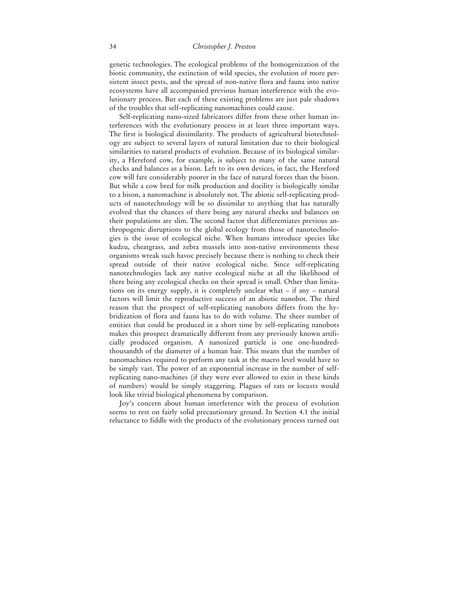genetic technologies. The ecological problems of the homogenization of the biotic community, the extinction of wild species, the evolution of more persistent insect pests, and the spread of non-native flora and fauna into native ecosystems have all accompanied previous human interference with the evolutionary process. But each of these existing problems are just pale shadows of the troubles that self-replicating nanomachines could cause.

 Self-replicating nano-sized fabricators differ from these other human interferences with the evolutionary process in at least three important ways. The first is biological dissimilarity. The products of agricultural biotechnology are subject to several layers of natural limitation due to their biological similarities to natural products of evolution. Because of its biological similarity, a Hereford cow, for example, is subject to many of the same natural checks and balances as a bison. Left to its own devices, in fact, the Hereford cow will fare considerably poorer in the face of natural forces than the bison. But while a cow bred for milk production and docility is biologically similar to a bison, a nanomachine is absolutely not. The abiotic self-replicating products of nanotechnology will be so dissimilar to anything that has naturally evolved that the chances of there being any natural checks and balances on their populations are slim. The second factor that differentiates previous anthropogenic disruptions to the global ecology from those of nanotechnologies is the issue of ecological niche. When humans introduce species like kudzu, cheatgrass, and zebra mussels into non-native environments these organisms wreak such havoc precisely because there is nothing to check their spread outside of their native ecological niche. Since self-replicating nanotechnologies lack any native ecological niche at all the likelihood of there being any ecological checks on their spread is small. Other than limitations on its energy supply, it is completely unclear what – if any – natural factors will limit the reproductive success of an abiotic nanobot. The third reason that the prospect of self-replicating nanobots differs from the hybridization of flora and fauna has to do with volume. The sheer number of entities that could be produced in a short time by self-replicating nanobots makes this prospect dramatically different from any previously known artificially produced organism. A nanosized particle is one one-hundredthousandth of the diameter of a human hair. This means that the number of nanomachines required to perform any task at the macro level would have to be simply vast. The power of an exponential increase in the number of selfreplicating nano-machines (if they were ever allowed to exist in these kinds of numbers) would be simply staggering. Plagues of rats or locusts would look like trivial biological phenomena by comparison.

 Joy's concern about human interference with the process of evolution seems to rest on fairly solid precautionary ground. In Section 4.1 the initial reluctance to fiddle with the products of the evolutionary process turned out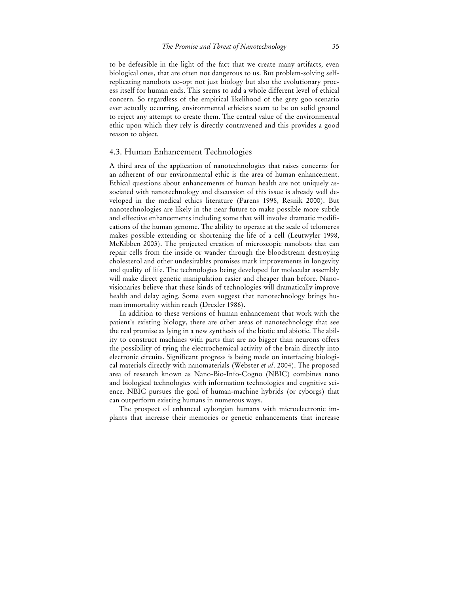to be defeasible in the light of the fact that we create many artifacts, even biological ones, that are often not dangerous to us. But problem-solving selfreplicating nanobots co-opt not just biology but also the evolutionary process itself for human ends. This seems to add a whole different level of ethical concern. So regardless of the empirical likelihood of the grey goo scenario ever actually occurring, environmental ethicists seem to be on solid ground to reject any attempt to create them. The central value of the environmental ethic upon which they rely is directly contravened and this provides a good reason to object.

#### 4.3. Human Enhancement Technologies

A third area of the application of nanotechnologies that raises concerns for an adherent of our environmental ethic is the area of human enhancement. Ethical questions about enhancements of human health are not uniquely associated with nanotechnology and discussion of this issue is already well developed in the medical ethics literature (Parens 1998, Resnik 2000). But nanotechnologies are likely in the near future to make possible more subtle and effective enhancements including some that will involve dramatic modifications of the human genome. The ability to operate at the scale of telomeres makes possible extending or shortening the life of a cell (Leutwyler 1998, McKibben 2003). The projected creation of microscopic nanobots that can repair cells from the inside or wander through the bloodstream destroying cholesterol and other undesirables promises mark improvements in longevity and quality of life. The technologies being developed for molecular assembly will make direct genetic manipulation easier and cheaper than before. Nanovisionaries believe that these kinds of technologies will dramatically improve health and delay aging. Some even suggest that nanotechnology brings human immortality within reach (Drexler 1986).

 In addition to these versions of human enhancement that work with the patient's existing biology, there are other areas of nanotechnology that see the real promise as lying in a new synthesis of the biotic and abiotic. The ability to construct machines with parts that are no bigger than neurons offers the possibility of tying the electrochemical activity of the brain directly into electronic circuits. Significant progress is being made on interfacing biological materials directly with nanomaterials (Webster *et al*. 2004). The proposed area of research known as Nano-Bio-Info-Cogno (NBIC) combines nano and biological technologies with information technologies and cognitive science. NBIC pursues the goal of human-machine hybrids (or cyborgs) that can outperform existing humans in numerous ways.

 The prospect of enhanced cyborgian humans with microelectronic implants that increase their memories or genetic enhancements that increase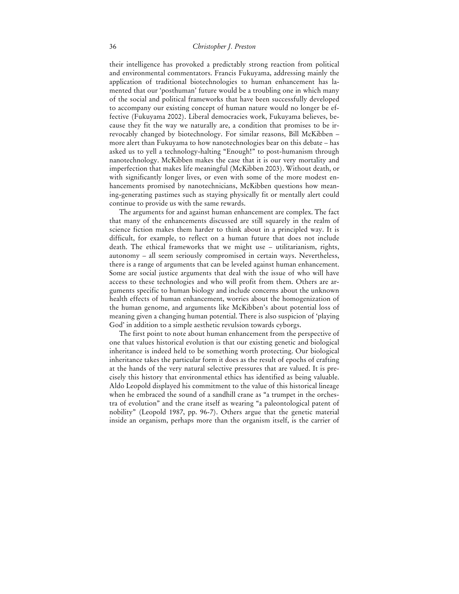their intelligence has provoked a predictably strong reaction from political and environmental commentators. Francis Fukuyama, addressing mainly the application of traditional biotechnologies to human enhancement has lamented that our 'posthuman' future would be a troubling one in which many of the social and political frameworks that have been successfully developed to accompany our existing concept of human nature would no longer be effective (Fukuyama 2002). Liberal democracies work, Fukuyama believes, because they fit the way we naturally are, a condition that promises to be irrevocably changed by biotechnology. For similar reasons, Bill McKibben – more alert than Fukuyama to how nanotechnologies bear on this debate – has asked us to yell a technology-halting "Enough!" to post-humanism through nanotechnology. McKibben makes the case that it is our very mortality and imperfection that makes life meaningful (McKibben 2003). Without death, or with significantly longer lives, or even with some of the more modest enhancements promised by nanotechnicians, McKibben questions how meaning-generating pastimes such as staying physically fit or mentally alert could continue to provide us with the same rewards.

 The arguments for and against human enhancement are complex. The fact that many of the enhancements discussed are still squarely in the realm of science fiction makes them harder to think about in a principled way. It is difficult, for example, to reflect on a human future that does not include death. The ethical frameworks that we might use – utilitarianism, rights, autonomy – all seem seriously compromised in certain ways. Nevertheless, there is a range of arguments that can be leveled against human enhancement. Some are social justice arguments that deal with the issue of who will have access to these technologies and who will profit from them. Others are arguments specific to human biology and include concerns about the unknown health effects of human enhancement, worries about the homogenization of the human genome, and arguments like McKibben's about potential loss of meaning given a changing human potential. There is also suspicion of 'playing God' in addition to a simple aesthetic revulsion towards cyborgs.

 The first point to note about human enhancement from the perspective of one that values historical evolution is that our existing genetic and biological inheritance is indeed held to be something worth protecting. Our biological inheritance takes the particular form it does as the result of epochs of crafting at the hands of the very natural selective pressures that are valued. It is precisely this history that environmental ethics has identified as being valuable. Aldo Leopold displayed his commitment to the value of this historical lineage when he embraced the sound of a sandhill crane as "a trumpet in the orchestra of evolution" and the crane itself as wearing "a paleontological patent of nobility" (Leopold 1987, pp. 96-7). Others argue that the genetic material inside an organism, perhaps more than the organism itself, is the carrier of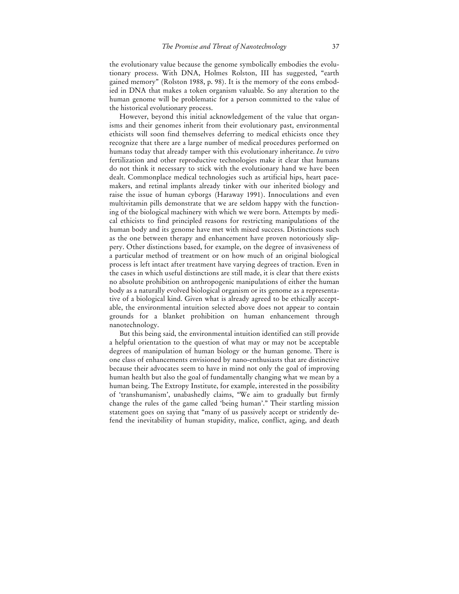the evolutionary value because the genome symbolically embodies the evolutionary process. With DNA, Holmes Rolston, III has suggested, "earth gained memory" (Rolston 1988, p. 98). It is the memory of the eons embodied in DNA that makes a token organism valuable. So any alteration to the human genome will be problematic for a person committed to the value of the historical evolutionary process.

 However, beyond this initial acknowledgement of the value that organisms and their genomes inherit from their evolutionary past, environmental ethicists will soon find themselves deferring to medical ethicists once they recognize that there are a large number of medical procedures performed on humans today that already tamper with this evolutionary inheritance. *In vitro* fertilization and other reproductive technologies make it clear that humans do not think it necessary to stick with the evolutionary hand we have been dealt. Commonplace medical technologies such as artificial hips, heart pacemakers, and retinal implants already tinker with our inherited biology and raise the issue of human cyborgs (Haraway 1991). Innoculations and even multivitamin pills demonstrate that we are seldom happy with the functioning of the biological machinery with which we were born. Attempts by medical ethicists to find principled reasons for restricting manipulations of the human body and its genome have met with mixed success. Distinctions such as the one between therapy and enhancement have proven notoriously slippery. Other distinctions based, for example, on the degree of invasiveness of a particular method of treatment or on how much of an original biological process is left intact after treatment have varying degrees of traction. Even in the cases in which useful distinctions are still made, it is clear that there exists no absolute prohibition on anthropogenic manipulations of either the human body as a naturally evolved biological organism or its genome as a representative of a biological kind. Given what is already agreed to be ethically acceptable, the environmental intuition selected above does not appear to contain grounds for a blanket prohibition on human enhancement through nanotechnology.

 But this being said, the environmental intuition identified can still provide a helpful orientation to the question of what may or may not be acceptable degrees of manipulation of human biology or the human genome. There is one class of enhancements envisioned by nano-enthusiasts that are distinctive because their advocates seem to have in mind not only the goal of improving human health but also the goal of fundamentally changing what we mean by a human being. The Extropy Institute, for example, interested in the possibility of 'transhumanism', unabashedly claims, "We aim to gradually but firmly change the rules of the game called 'being human'." Their startling mission statement goes on saying that "many of us passively accept or stridently defend the inevitability of human stupidity, malice, conflict, aging, and death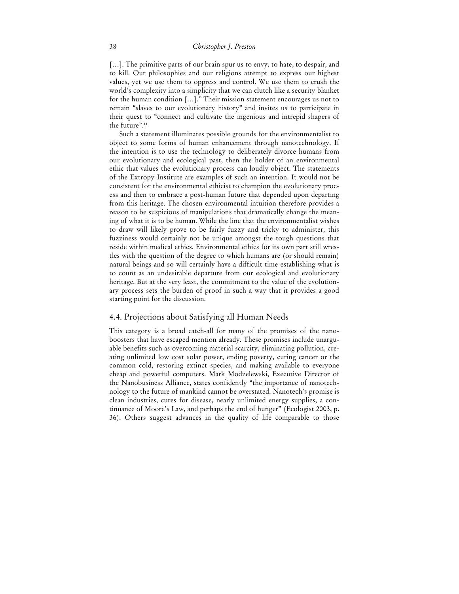[...]. The primitive parts of our brain spur us to envy, to hate, to despair, and to kill. Our philosophies and our religions attempt to express our highest values, yet we use them to oppress and control. We use them to crush the world's complexity into a simplicity that we can clutch like a security blanket for the human condition […]." Their mission statement encourages us not to remain "slaves to our evolutionary history" and invites us to participate in their quest to "connect and cultivate the ingenious and intrepid shapers of the future".14

 Such a statement illuminates possible grounds for the environmentalist to object to some forms of human enhancement through nanotechnology. If the intention is to use the technology to deliberately divorce humans from our evolutionary and ecological past, then the holder of an environmental ethic that values the evolutionary process can loudly object. The statements of the Extropy Institute are examples of such an intention. It would not be consistent for the environmental ethicist to champion the evolutionary process and then to embrace a post-human future that depended upon departing from this heritage. The chosen environmental intuition therefore provides a reason to be suspicious of manipulations that dramatically change the meaning of what it is to be human. While the line that the environmentalist wishes to draw will likely prove to be fairly fuzzy and tricky to administer, this fuzziness would certainly not be unique amongst the tough questions that reside within medical ethics. Environmental ethics for its own part still wrestles with the question of the degree to which humans are (or should remain) natural beings and so will certainly have a difficult time establishing what is to count as an undesirable departure from our ecological and evolutionary heritage. But at the very least, the commitment to the value of the evolutionary process sets the burden of proof in such a way that it provides a good starting point for the discussion.

#### 4.4. Projections about Satisfying all Human Needs

This category is a broad catch-all for many of the promises of the nanoboosters that have escaped mention already. These promises include unarguable benefits such as overcoming material scarcity, eliminating pollution, creating unlimited low cost solar power, ending poverty, curing cancer or the common cold, restoring extinct species, and making available to everyone cheap and powerful computers. Mark Modzelewski, Executive Director of the Nanobusiness Alliance, states confidently "the importance of nanotechnology to the future of mankind cannot be overstated. Nanotech's promise is clean industries, cures for disease, nearly unlimited energy supplies, a continuance of Moore's Law, and perhaps the end of hunger" (Ecologist 2003, p. 36). Others suggest advances in the quality of life comparable to those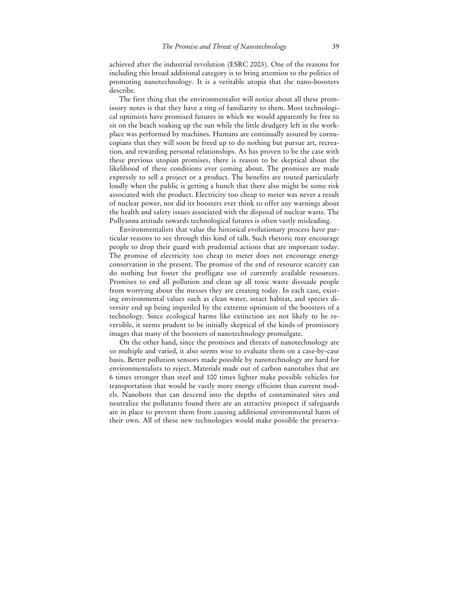achieved after the industrial revolution (ESRC 2003). One of the reasons for including this broad additional category is to bring attention to the politics of promoting nanotechnology. It is a veritable utopia that the nano-boosters describe.

 The first thing that the environmentalist will notice about all these promissory notes is that they have a ring of familiarity to them. Most technological optimists have promised futures in which we would apparently be free to sit on the beach soaking up the sun while the little drudgery left in the workplace was performed by machines. Humans are continually assured by cornucopians that they will soon be freed up to do nothing but pursue art, recreation, and rewarding personal relationships. As has proven to be the case with these previous utopian promises, there is reason to be skeptical about the likelihood of these conditions ever coming about. The promises are made expressly to sell a project or a product. The benefits are touted particularly loudly when the public is getting a hunch that there also might be some risk associated with the product. Electricity too cheap to meter was never a result of nuclear power, nor did its boosters ever think to offer any warnings about the health and safety issues associated with the disposal of nuclear waste. The Pollyanna attitude towards technological futures is often vastly misleading.

 Environmentalists that value the historical evolutionary process have particular reasons to see through this kind of talk. Such rhetoric may encourage people to drop their guard with prudential actions that are important today. The promise of electricity too cheap to meter does not encourage energy conservation in the present. The promise of the end of resource scarcity can do nothing but foster the profligate use of currently available resources. Promises to end all pollution and clean up all toxic waste dissuade people from worrying about the messes they are creating today. In each case, existing environmental values such as clean water, intact habitat, and species diversity end up being imperiled by the extreme optimism of the boosters of a technology. Since ecological harms like extinction are not likely to be reversible, it seems prudent to be initially skeptical of the kinds of promissory images that many of the boosters of nanotechnology promulgate.

 On the other hand, since the promises and threats of nanotechnology are so multiple and varied, it also seems wise to evaluate them on a case-by-case basis. Better pollution sensors made possible by nanotechnology are hard for environmentalists to reject. Materials made out of carbon nanotubes that are 6 times stronger than steel and 100 times lighter make possible vehicles for transportation that would be vastly more energy efficient than current models. Nanobots that can descend into the depths of contaminated sites and neutralize the pollutants found there are an attractive prospect if safeguards are in place to prevent them from causing additional environmental harm of their own. All of these new technologies would make possible the preserva-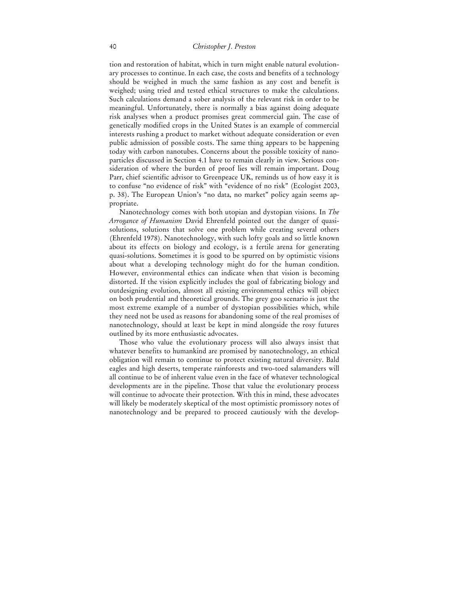tion and restoration of habitat, which in turn might enable natural evolutionary processes to continue. In each case, the costs and benefits of a technology should be weighed in much the same fashion as any cost and benefit is weighed; using tried and tested ethical structures to make the calculations. Such calculations demand a sober analysis of the relevant risk in order to be meaningful. Unfortunately, there is normally a bias against doing adequate risk analyses when a product promises great commercial gain. The case of genetically modified crops in the United States is an example of commercial interests rushing a product to market without adequate consideration or even public admission of possible costs. The same thing appears to be happening today with carbon nanotubes. Concerns about the possible toxicity of nanoparticles discussed in Section 4.1 have to remain clearly in view. Serious consideration of where the burden of proof lies will remain important. Doug Parr, chief scientific advisor to Greenpeace UK, reminds us of how easy it is to confuse "no evidence of risk" with "evidence of no risk" (Ecologist 2003, p. 38). The European Union's "no data, no market" policy again seems appropriate.

 Nanotechnology comes with both utopian and dystopian visions. In *The Arrogance of Humanism* David Ehrenfeld pointed out the danger of quasisolutions, solutions that solve one problem while creating several others (Ehrenfeld 1978). Nanotechnology, with such lofty goals and so little known about its effects on biology and ecology, is a fertile arena for generating quasi-solutions. Sometimes it is good to be spurred on by optimistic visions about what a developing technology might do for the human condition. However, environmental ethics can indicate when that vision is becoming distorted. If the vision explicitly includes the goal of fabricating biology and outdesigning evolution, almost all existing environmental ethics will object on both prudential and theoretical grounds. The grey goo scenario is just the most extreme example of a number of dystopian possibilities which, while they need not be used as reasons for abandoning some of the real promises of nanotechnology, should at least be kept in mind alongside the rosy futures outlined by its more enthusiastic advocates.

 Those who value the evolutionary process will also always insist that whatever benefits to humankind are promised by nanotechnology, an ethical obligation will remain to continue to protect existing natural diversity. Bald eagles and high deserts, temperate rainforests and two-toed salamanders will all continue to be of inherent value even in the face of whatever technological developments are in the pipeline. Those that value the evolutionary process will continue to advocate their protection. With this in mind, these advocates will likely be moderately skeptical of the most optimistic promissory notes of nanotechnology and be prepared to proceed cautiously with the develop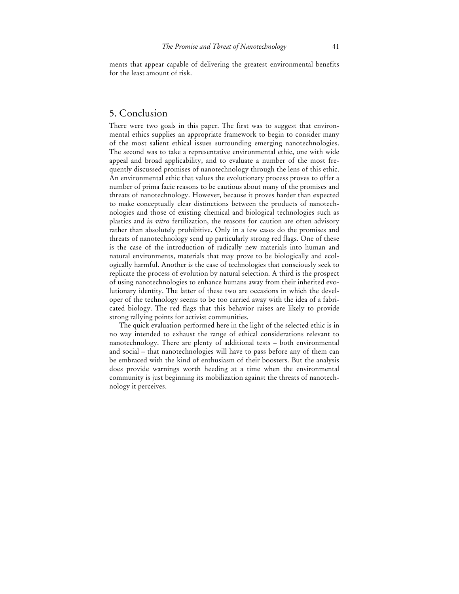ments that appear capable of delivering the greatest environmental benefits for the least amount of risk.

# 5. Conclusion

There were two goals in this paper. The first was to suggest that environmental ethics supplies an appropriate framework to begin to consider many of the most salient ethical issues surrounding emerging nanotechnologies. The second was to take a representative environmental ethic, one with wide appeal and broad applicability, and to evaluate a number of the most frequently discussed promises of nanotechnology through the lens of this ethic. An environmental ethic that values the evolutionary process proves to offer a number of prima facie reasons to be cautious about many of the promises and threats of nanotechnology. However, because it proves harder than expected to make conceptually clear distinctions between the products of nanotechnologies and those of existing chemical and biological technologies such as plastics and *in vitro* fertilization, the reasons for caution are often advisory rather than absolutely prohibitive. Only in a few cases do the promises and threats of nanotechnology send up particularly strong red flags. One of these is the case of the introduction of radically new materials into human and natural environments, materials that may prove to be biologically and ecologically harmful. Another is the case of technologies that consciously seek to replicate the process of evolution by natural selection. A third is the prospect of using nanotechnologies to enhance humans away from their inherited evolutionary identity. The latter of these two are occasions in which the developer of the technology seems to be too carried away with the idea of a fabricated biology. The red flags that this behavior raises are likely to provide strong rallying points for activist communities.

 The quick evaluation performed here in the light of the selected ethic is in no way intended to exhaust the range of ethical considerations relevant to nanotechnology. There are plenty of additional tests – both environmental and social – that nanotechnologies will have to pass before any of them can be embraced with the kind of enthusiasm of their boosters. But the analysis does provide warnings worth heeding at a time when the environmental community is just beginning its mobilization against the threats of nanotechnology it perceives.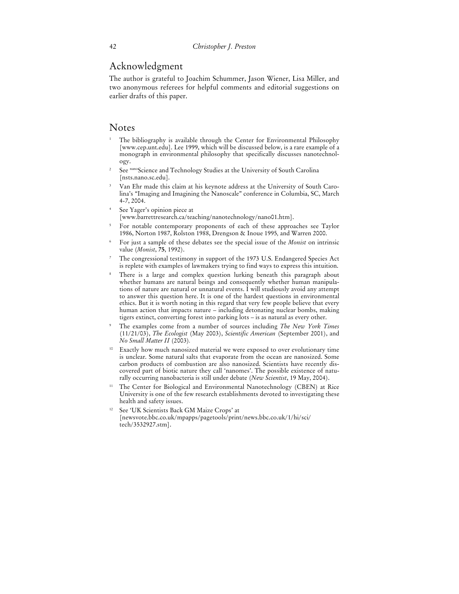# Acknowledgment

The author is grateful to Joachim Schummer, Jason Wiener, Lisa Miller, and two anonymous referees for helpful comments and editorial suggestions on earlier drafts of this paper.

### Notes

- 1 The bibliography is available through the Center for Environmental Philosophy [www.cep.unt.edu]. Lee 1999, which will be discussed below, is a rare example of a monograph in environmental philosophy that specifically discusses nanotechnology.
- 2 See nanoScience and Technology Studies at the University of South Carolina [nsts.nano.sc.edu].
- 3 Van Ehr made this claim at his keynote address at the University of South Carolina's "Imaging and Imagining the Nanoscale" conference in Columbia, SC, March 4-7, 2004.
- 4 See Yager's opinion piece at [www.barrettresearch.ca/teaching/nanotechnology/nano01.htm].
- 5 For notable contemporary proponents of each of these approaches see Taylor 1986, Norton 1987, Rolston 1988, Drengson & Inoue 1995*,* and Warren 2000.
- 6 For just a sample of these debates see the special issue of the *Monist* on intrinsic value (*Monist*, **75**, 1992).
- 7 The congressional testimony in support of the 1973 U.S. Endangered Species Act is replete with examples of lawmakers trying to find ways to express this intuition.
- 8 There is a large and complex question lurking beneath this paragraph about whether humans are natural beings and consequently whether human manipulations of nature are natural or unnatural events. I will studiously avoid any attempt to answer this question here. It is one of the hardest questions in environmental ethics. But it is worth noting in this regard that very few people believe that every human action that impacts nature – including detonating nuclear bombs, making tigers extinct, converting forest into parking lots – is as natural as every other.
- 9 The examples come from a number of sources including *The New York Times* (11/21/03), *The Ecologist* (May 2003), *Scientific American* (September 2001), and *No Small Matter II* (2003)*.*
- <sup>10</sup> Exactly how much nanosized material we were exposed to over evolutionary time is unclear. Some natural salts that evaporate from the ocean are nanosized. Some carbon products of combustion are also nanosized. Scientists have recently discovered part of biotic nature they call 'nanomes'. The possible existence of naturally occurring nanobacteria is still under debate (*New Scientist*, 19 May, 2004).
- The Center for Biological and Environmental Nanotechnology (CBEN) at Rice University is one of the few research establishments devoted to investigating these health and safety issues.
- See 'UK Scientists Back GM Maize Crops' at [newsvote.bbc.co.uk/mpapps/pagetools/print/news.bbc.co.uk/1/hi/sci/ tech/3532927.stm].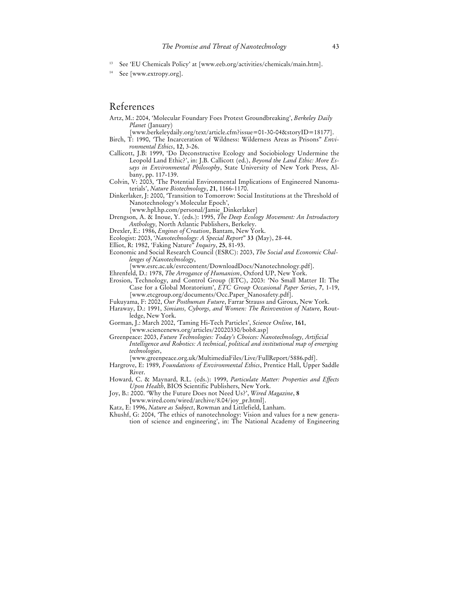- 13 See 'EU Chemicals Policy' at [www.eeb.org/activities/chemicals/main.htm].
- 14 See [www.extropy.org].

# References

Artz, M.: 2004, 'Molecular Foundary Foes Protest Groundbreaking', *Berkeley Daily Planet* (January)

[www.berkeleydaily.org/text/article.cfm?issue=01-30-04&storyID=18177].

- Birch, T: 1990, 'The Incarceration of Wildness: Wilderness Areas as Prisons" *Environmental Ethics*, **12**, 3-26.
- Callicott, J.B: 1999, 'Do Deconstructive Ecology and Sociobiology Undermine the Leopold Land Ethic?', in: J.B. Callicott (ed.), *Beyond the Land Ethic: More Essays in Environmental Philosophy*, State University of New York Press, Albany, pp. 117-139.
- Colvin, V: 2003, 'The Potential Environmental Implications of Engineered Nanomaterials', *Nature Biotechnology*, **21**, 1166-1170.
- Dinkerlaker, J: 2000, 'Transition to Tomorrow: Social Institutions at the Threshold of Nanotechnology's Molecular Epoch',

[www.hpl.hp.com/personal/Jamie\_Dinkerlaker]

- Drengson, A. & Inoue, Y. (eds.): 1995, *The Deep Ecology Movement: An Introductory Anthology,* North Atlantic Publishers, Berkeley.
- Drexler, E.: 1986, *Engines of Creation*, Bantam, New York.
- Ecologist: 2003, '*Nanotechnology: A Special Report*" **33 (**May), 28-44.
- Elliot, R: 1982, 'Faking Nature" *Inquiry*, **25**, 81-93.
- Economic and Social Research Council (ESRC): 2003, *The Social and Economic Challenges of Nanotechnology*,

[www.esrc.ac.uk/esrccontent/DownloadDocs/Nanotechnology.pdf].

- Ehrenfeld, D.: 1978, *The Arrogance of Humanism*, Oxford UP, New York.
- Erosion, Technology, and Control Group (ETC), 2003: 'No Small Matter II: The Case for a Global Moratorium', *ETC Group Occasional Paper Series*, **7**, 1-19, [www.etcgroup.org/documents/Occ.Paper\_Nanosafety.pdf].
- Fukuyama, F: 2002, *Our Posthuman Future*, Farrar Strauss and Giroux, New York.
- Haraway, D.: 1991, *Simians, Cyborgs, and Women: The Reinvention of Nature*, Routledge, New York.
- Gorman, J.: March 2002, 'Taming Hi-Tech Particles', *Science Online*, **161**, [www.sciencenews.org/articles/20020330/bob8.asp]
- Greenpeace: 2003, *Future Technologies: Today's Choices: Nanotechnology, Artificial Intelligence and Robotics: A technical, political and institutional map of emerging technologies*,
	- [www.greenpeace.org.uk/MultimediaFiles/Live/FullReport/5886.pdf].
- Hargrove, E: 1989, *Foundations of Environmental Ethics*, Prentice Hall, Upper Saddle River.
- Howard, C. & Maynard, R.L. (eds.): 1999, *Particulate Matter: Properties and Effects Upon Health*, BIOS Scientific Publishers, New York.
- Joy, B.: 2000. 'Why the Future Does not Need Us?', *Wired Magazine*, **8**
- **[**www.wired.com/wired/archive/8.04/joy\_pr.html].
- Katz, E: 1996, *Nature as Subject*, Rowman and Littlefield, Lanham.
- Khushf, G: 2004, 'The ethics of nanotechnology: Vision and values for a new generation of science and engineering', in: The National Academy of Engineering